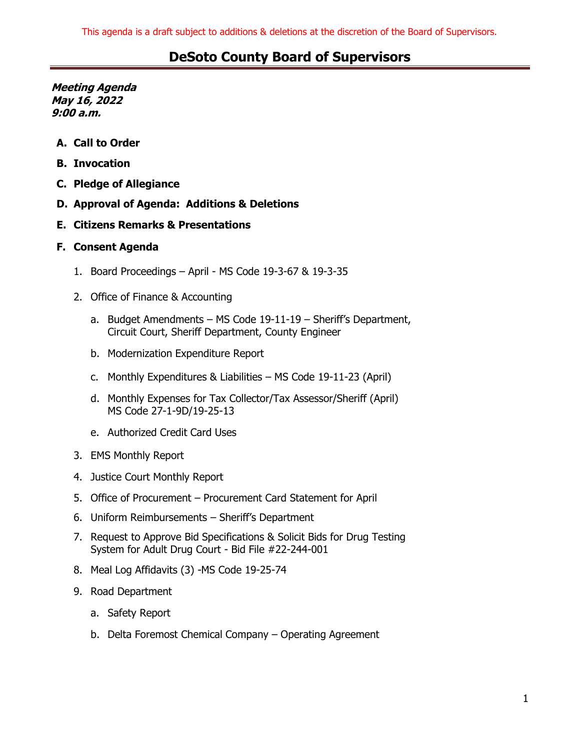**Meeting Agenda May 16, 2022 9:00 a.m.**

- **A. Call to Order**
- **B. Invocation**
- **C. Pledge of Allegiance**
- **D. Approval of Agenda: Additions & Deletions**
- **E. Citizens Remarks & Presentations**

#### **F. Consent Agenda**

- 1. Board Proceedings April MS Code 19-3-67 & 19-3-35
- 2. Office of Finance & Accounting
	- a. Budget Amendments MS Code 19-11-19 Sheriff's Department, Circuit Court, Sheriff Department, County Engineer
	- b. Modernization Expenditure Report
	- c. Monthly Expenditures & Liabilities MS Code 19-11-23 (April)
	- d. Monthly Expenses for Tax Collector/Tax Assessor/Sheriff (April) MS Code 27-1-9D/19-25-13
	- e. Authorized Credit Card Uses
- 3. EMS Monthly Report
- 4. Justice Court Monthly Report
- 5. Office of Procurement Procurement Card Statement for April
- 6. Uniform Reimbursements Sheriff's Department
- 7. Request to Approve Bid Specifications & Solicit Bids for Drug Testing System for Adult Drug Court - Bid File #22-244-001
- 8. Meal Log Affidavits (3) -MS Code 19-25-74
- 9. Road Department
	- a. Safety Report
	- b. Delta Foremost Chemical Company Operating Agreement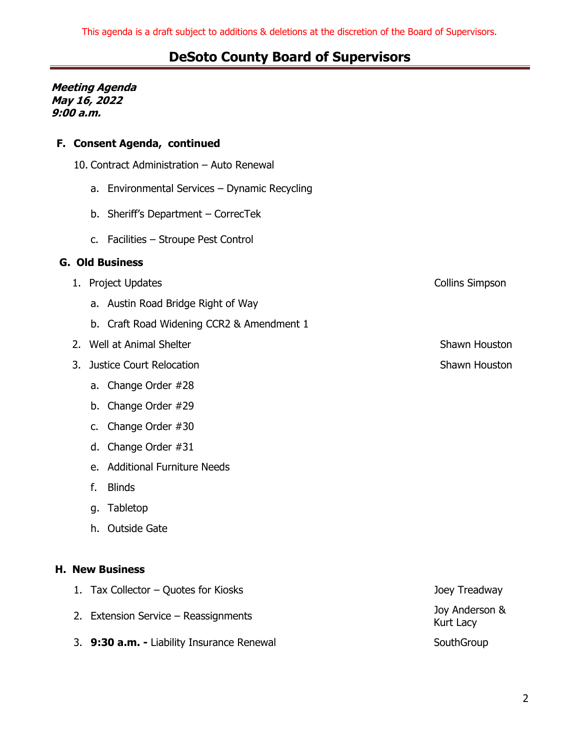#### **Meeting Agenda May 16, 2022 9:00 a.m.**

#### **F. Consent Agenda, continued**

- 10. Contract Administration Auto Renewal
	- a. Environmental Services Dynamic Recycling
	- b. Sheriff's Department CorrecTek
	- c. Facilities Stroupe Pest Control

#### **G. Old Business**

- 1. Project Updates **Collins** Simpson
	- a. Austin Road Bridge Right of Way
	- b. Craft Road Widening CCR2 & Amendment 1
- 2. Well at Animal Shelter Shawn Houston Shawn Houston
- 3. Justice Court Relocation Shawn Houston Shawn Houston
	- a. Change Order #28
	- b. Change Order #29
	- c. Change Order #30
	- d. Change Order #31
	- e. Additional Furniture Needs
	- f. Blinds
	- g. Tabletop
	- h. Outside Gate

#### **H. New Business**

- 1. Tax Collector Quotes for Kiosks Joey Treadway
	- 2. Extension Service Reassignments Joy Anderson &
	- 3. **9:30 a.m.** Liability Insurance Renewal SouthGroup SouthGroup

Kurt Lacy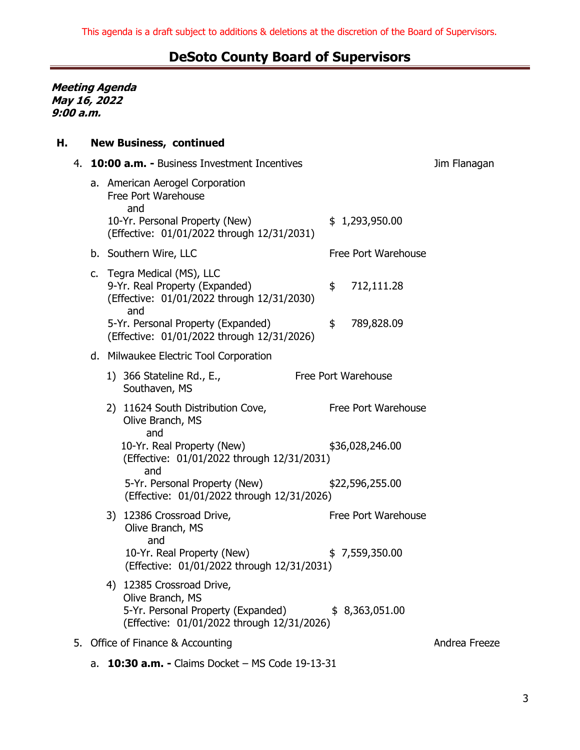**Meeting Agenda May 16, 2022 9:00 a.m.**

### **H. New Business, continued**

| 4. | 10:00 a.m. - Business Investment Incentives                                                                                       |                     | Jim Flanagan  |
|----|-----------------------------------------------------------------------------------------------------------------------------------|---------------------|---------------|
|    | a. American Aerogel Corporation<br>Free Port Warehouse<br>and                                                                     |                     |               |
|    | 10-Yr. Personal Property (New)<br>(Effective: 01/01/2022 through 12/31/2031)                                                      | \$1,293,950.00      |               |
|    | b. Southern Wire, LLC                                                                                                             | Free Port Warehouse |               |
|    | c. Tegra Medical (MS), LLC<br>9-Yr. Real Property (Expanded)<br>(Effective: 01/01/2022 through 12/31/2030)<br>and                 | \$<br>712,111.28    |               |
|    | 5-Yr. Personal Property (Expanded)<br>(Effective: 01/01/2022 through 12/31/2026)                                                  | \$<br>789,828.09    |               |
|    | d. Milwaukee Electric Tool Corporation                                                                                            |                     |               |
|    | 1) 366 Stateline Rd., E.,<br>Southaven, MS                                                                                        | Free Port Warehouse |               |
|    | 2) 11624 South Distribution Cove,<br>Olive Branch, MS<br>and                                                                      | Free Port Warehouse |               |
|    | 10-Yr. Real Property (New)<br>(Effective: 01/01/2022 through 12/31/2031)<br>and                                                   | \$36,028,246.00     |               |
|    | 5-Yr. Personal Property (New)<br>(Effective: 01/01/2022 through 12/31/2026)                                                       | \$22,596,255.00     |               |
|    | 3) 12386 Crossroad Drive,<br>Olive Branch, MS<br>and                                                                              | Free Port Warehouse |               |
|    | 10-Yr. Real Property (New)<br>(Effective: 01/01/2022 through 12/31/2031)                                                          | \$7,559,350.00      |               |
|    | 4) 12385 Crossroad Drive,<br>Olive Branch, MS<br>5-Yr. Personal Property (Expanded)<br>(Effective: 01/01/2022 through 12/31/2026) | \$8,363,051.00      |               |
|    | 5. Office of Finance & Accounting                                                                                                 |                     | Andrea Freeze |
|    |                                                                                                                                   |                     |               |

a. **10:30 a.m. -** Claims Docket – MS Code 19-13-31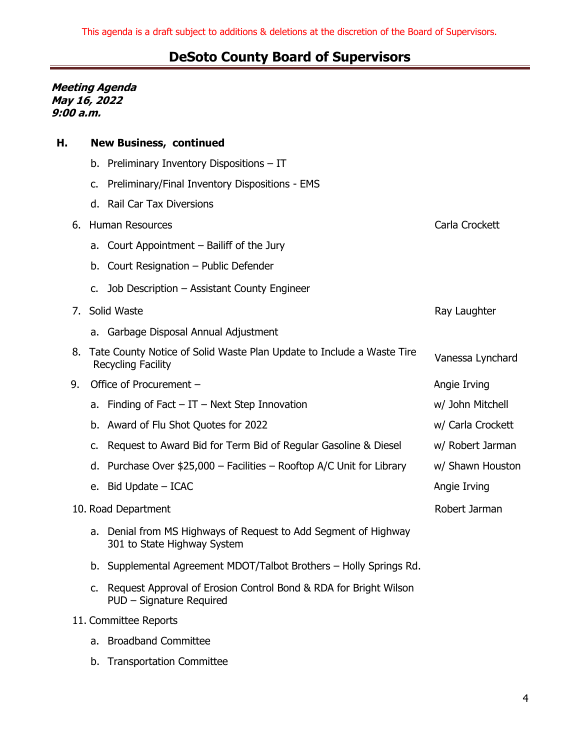#### **Meeting Agenda May 16, 2022 9:00 a.m.**

| Η. | <b>New Business, continued</b>                                                                        |                   |
|----|-------------------------------------------------------------------------------------------------------|-------------------|
|    | b. Preliminary Inventory Dispositions - IT                                                            |                   |
|    | Preliminary/Final Inventory Dispositions - EMS<br>c.                                                  |                   |
|    | d. Rail Car Tax Diversions                                                                            |                   |
| 6. | <b>Human Resources</b>                                                                                | Carla Crockett    |
|    | a. Court Appointment – Bailiff of the Jury                                                            |                   |
|    | Court Resignation - Public Defender<br>b.                                                             |                   |
|    | Job Description - Assistant County Engineer<br>c.                                                     |                   |
| 7. | Solid Waste                                                                                           | Ray Laughter      |
|    | a. Garbage Disposal Annual Adjustment                                                                 |                   |
|    | 8. Tate County Notice of Solid Waste Plan Update to Include a Waste Tire<br><b>Recycling Facility</b> | Vanessa Lynchard  |
| 9. | Office of Procurement -                                                                               | Angie Irving      |
|    | Finding of Fact $-IT$ - Next Step Innovation<br>а.                                                    | w/ John Mitchell  |
|    | Award of Flu Shot Quotes for 2022<br>b.                                                               | w/ Carla Crockett |
|    | Request to Award Bid for Term Bid of Regular Gasoline & Diesel<br>c.                                  | w/ Robert Jarman  |
|    | Purchase Over \$25,000 - Facilities - Rooftop A/C Unit for Library<br>d.                              | w/ Shawn Houston  |
|    | Bid Update – ICAC<br>е.                                                                               | Angie Irving      |
|    | 10. Road Department                                                                                   | Robert Jarman     |
|    | Denial from MS Highways of Request to Add Segment of Highway<br>a.<br>301 to State Highway System     |                   |
|    | b. Supplemental Agreement MDOT/Talbot Brothers - Holly Springs Rd.                                    |                   |
|    | Request Approval of Erosion Control Bond & RDA for Bright Wilson<br>c.<br>PUD - Signature Required    |                   |
|    | 11. Committee Reports                                                                                 |                   |
|    | a. Broadband Committee                                                                                |                   |
|    | b. Transportation Committee                                                                           |                   |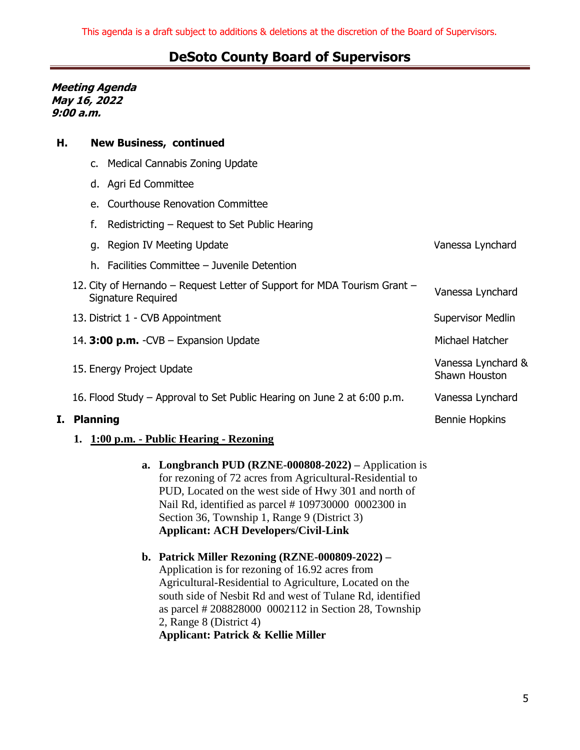**Meeting Agenda May 16, 2022 9:00 a.m.**

**H. New Business, continued**

| I. Planning                                                                                    | <b>Bennie Hopkins</b>               |
|------------------------------------------------------------------------------------------------|-------------------------------------|
| 16. Flood Study – Approval to Set Public Hearing on June 2 at 6:00 p.m.                        | Vanessa Lynchard                    |
| 15. Energy Project Update                                                                      | Vanessa Lynchard &<br>Shawn Houston |
| 14. $3:00$ p.m. -CVB – Expansion Update                                                        | Michael Hatcher                     |
| 13. District 1 - CVB Appointment                                                               | <b>Supervisor Medlin</b>            |
| 12. City of Hernando – Request Letter of Support for MDA Tourism Grant –<br>Signature Required | Vanessa Lynchard                    |
| h. Facilities Committee - Juvenile Detention                                                   |                                     |
| g. Region IV Meeting Update                                                                    | Vanessa Lynchard                    |
| f.<br>Redistricting – Request to Set Public Hearing                                            |                                     |
| e. Courthouse Renovation Committee                                                             |                                     |
| d. Agri Ed Committee                                                                           |                                     |
| c. Medical Cannabis Zoning Update                                                              |                                     |
|                                                                                                |                                     |

#### **1. 1:00 p.m. - Public Hearing - Rezoning**

- **a. Longbranch PUD (RZNE-000808-2022) –** Application is for rezoning of 72 acres from Agricultural-Residential to PUD, Located on the west side of Hwy 301 and north of Nail Rd, identified as parcel # 109730000 0002300 in Section 36, Township 1, Range 9 (District 3) **Applicant: ACH Developers/Civil-Link**
- **b. Patrick Miller Rezoning (RZNE-000809-2022) –** Application is for rezoning of 16.92 acres from Agricultural-Residential to Agriculture, Located on the south side of Nesbit Rd and west of Tulane Rd, identified as parcel # 208828000 0002112 in Section 28, Township 2, Range 8 (District 4) **Applicant: Patrick & Kellie Miller**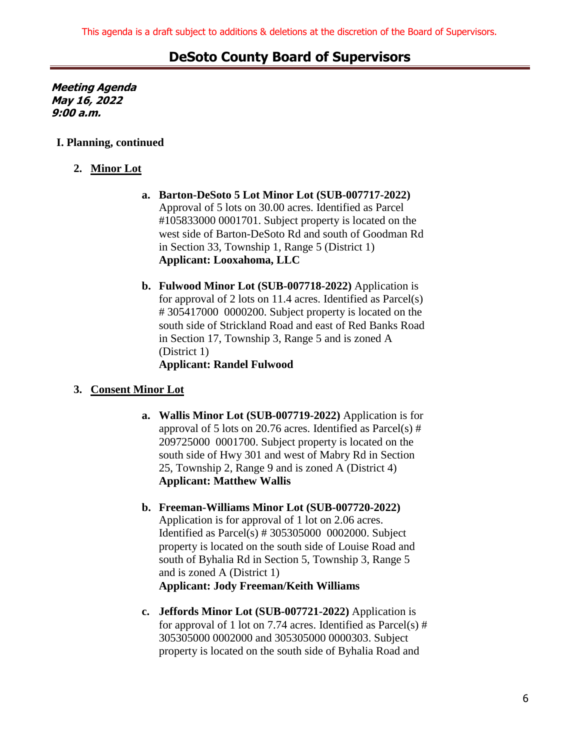**Meeting Agenda May 16, 2022 9:00 a.m.**

#### **I. Planning, continued**

#### **2. Minor Lot**

- **a. Barton-DeSoto 5 Lot Minor Lot (SUB-007717-2022)**  Approval of 5 lots on 30.00 acres. Identified as Parcel #105833000 0001701. Subject property is located on the west side of Barton-DeSoto Rd and south of Goodman Rd in Section 33, Township 1, Range 5 (District 1) **Applicant: Looxahoma, LLC**
- **b. Fulwood Minor Lot (SUB-007718-2022)** Application is for approval of 2 lots on 11.4 acres. Identified as Parcel(s) # 305417000 0000200. Subject property is located on the south side of Strickland Road and east of Red Banks Road in Section 17, Township 3, Range 5 and is zoned A (District 1) **Applicant: Randel Fulwood**

#### **3. Consent Minor Lot**

- **a. Wallis Minor Lot (SUB-007719-2022)** Application is for approval of 5 lots on 20.76 acres. Identified as  $Parcel(s)$  # 209725000 0001700. Subject property is located on the south side of Hwy 301 and west of Mabry Rd in Section 25, Township 2, Range 9 and is zoned A (District 4) **Applicant: Matthew Wallis**
- **b. Freeman-Williams Minor Lot (SUB-007720-2022)** Application is for approval of 1 lot on 2.06 acres. Identified as Parcel(s) # 305305000 0002000. Subject property is located on the south side of Louise Road and south of Byhalia Rd in Section 5, Township 3, Range 5 and is zoned A (District 1) **Applicant: Jody Freeman/Keith Williams**
- **c. Jeffords Minor Lot (SUB-007721-2022)** Application is for approval of 1 lot on 7.74 acres. Identified as  $Parcel(s)$  # 305305000 0002000 and 305305000 0000303. Subject property is located on the south side of Byhalia Road and